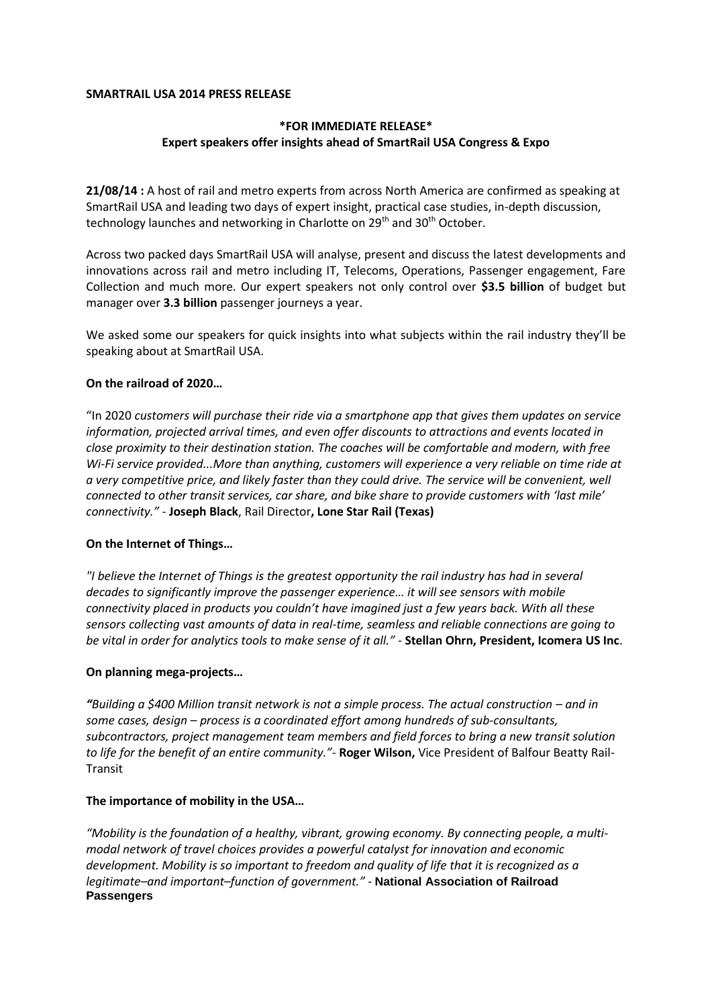#### **SMARTRAIL USA 2014 PRESS RELEASE**

# **\*FOR IMMEDIATE RELEASE\* Expert speakers offer insights ahead of SmartRail USA Congress & Expo**

**21/08/14 :** A host of rail and metro experts from across North America are confirmed as speaking at SmartRail USA and leading two days of expert insight, practical case studies, in-depth discussion, technology launches and networking in Charlotte on 29<sup>th</sup> and 30<sup>th</sup> October.

Across two packed days SmartRail USA will analyse, present and discuss the latest developments and innovations across rail and metro including IT, Telecoms, Operations, Passenger engagement, Fare Collection and much more. Our expert speakers not only control over **\$3.5 billion** of budget but manager over **3.3 billion** passenger journeys a year.

We asked some our speakers for quick insights into what subjects within the rail industry they'll be speaking about at SmartRail USA.

## **On the railroad of 2020…**

"In 2020 *customers will purchase their ride via a smartphone app that gives them updates on service information, projected arrival times, and even offer discounts to attractions and events located in close proximity to their destination station. The coaches will be comfortable and modern, with free Wi-Fi service provided...More than anything, customers will experience a very reliable on time ride at a very competitive price, and likely faster than they could drive. The service will be convenient, well connected to other transit services, car share, and bike share to provide customers with 'last mile' connectivity." -* **Joseph Black**, Rail Director**, Lone Star Rail (Texas)** 

## **On the Internet of Things…**

*"I believe the Internet of Things is the greatest opportunity the rail industry has had in several decades to significantly improve the passenger experience… it will see sensors with mobile connectivity placed in products you couldn't have imagined just a few years back. With all these sensors collecting vast amounts of data in real-time, seamless and reliable connections are going to be vital in order for analytics tools to make sense of it all." -* **Stellan Ohrn, President, Icomera US Inc**.

## **On planning mega-projects…**

*"Building a \$400 Million transit network is not a simple process. The actual construction – and in some cases, design – process is a coordinated effort among hundreds of sub-consultants, subcontractors, project management team members and field forces to bring a new transit solution to life for the benefit of an entire community."-* **Roger Wilson,** Vice President of Balfour Beatty Rail-Transit

## **The importance of mobility in the USA…**

*"Mobility is the foundation of a healthy, vibrant, growing economy. By connecting people, a multimodal network of travel choices provides a powerful catalyst for innovation and economic development. Mobility is so important to freedom and quality of life that it is recognized as a legitimate–and important–function of government."* - **National Association of Railroad Passengers**